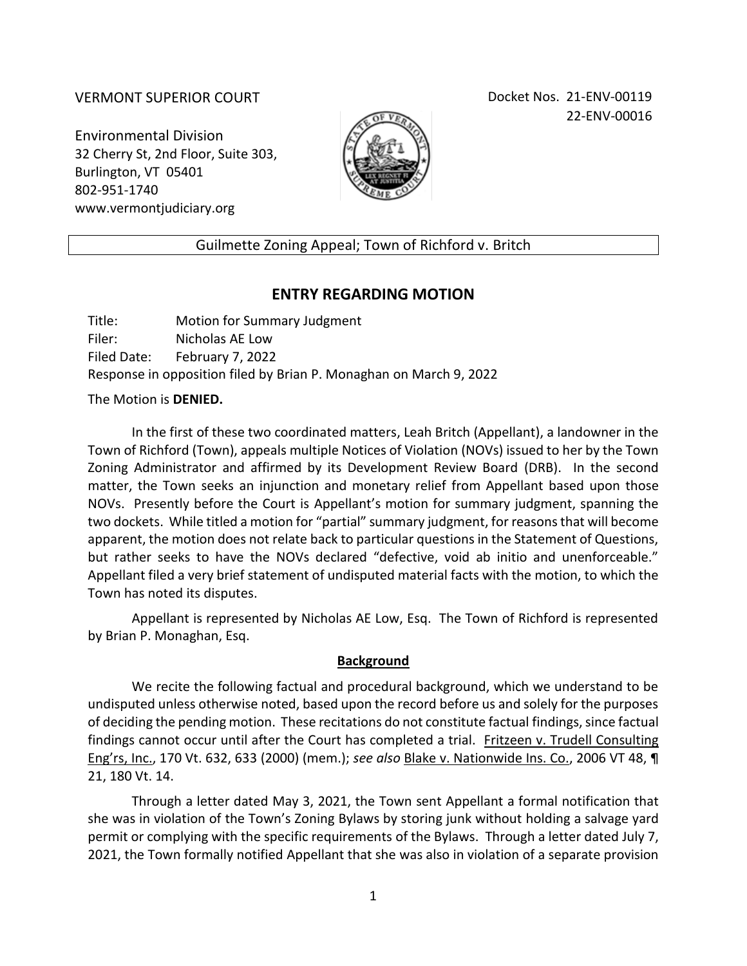# VERMONT SUPERIOR COURT DOCKET NOS. 21-ENV-00119

22-ENV-00016

Environmental Division 32 Cherry St, 2nd Floor, Suite 303, Burlington, VT 05401 802-951-1740 www.vermontjudiciary.org



## Guilmette Zoning Appeal; Town of Richford v. Britch

### **ENTRY REGARDING MOTION**

Title: Motion for Summary Judgment Filer: Nicholas AE Low Filed Date: February 7, 2022 Response in opposition filed by Brian P. Monaghan on March 9, 2022

The Motion is **DENIED.**

In the first of these two coordinated matters, Leah Britch (Appellant), a landowner in the Town of Richford (Town), appeals multiple Notices of Violation (NOVs) issued to her by the Town Zoning Administrator and affirmed by its Development Review Board (DRB). In the second matter, the Town seeks an injunction and monetary relief from Appellant based upon those NOVs. Presently before the Court is Appellant's motion for summary judgment, spanning the two dockets. While titled a motion for "partial" summary judgment, for reasons that will become apparent, the motion does not relate back to particular questions in the Statement of Questions, but rather seeks to have the NOVs declared "defective, void ab initio and unenforceable." Appellant filed a very brief statement of undisputed material facts with the motion, to which the Town has noted its disputes.

Appellant is represented by Nicholas AE Low, Esq. The Town of Richford is represented by Brian P. Monaghan, Esq.

### **Background**

We recite the following factual and procedural background, which we understand to be undisputed unless otherwise noted, based upon the record before us and solely for the purposes of deciding the pending motion. These recitations do not constitute factual findings, since factual findings cannot occur until after the Court has completed a trial. Fritzeen v. Trudell Consulting Eng'rs, Inc., 170 Vt. 632, 633 (2000) (mem.); *see also* Blake v. Nationwide Ins. Co., 2006 VT 48, ¶ 21, 180 Vt. 14.

Through a letter dated May 3, 2021, the Town sent Appellant a formal notification that she was in violation of the Town's Zoning Bylaws by storing junk without holding a salvage yard permit or complying with the specific requirements of the Bylaws. Through a letter dated July 7, 2021, the Town formally notified Appellant that she was also in violation of a separate provision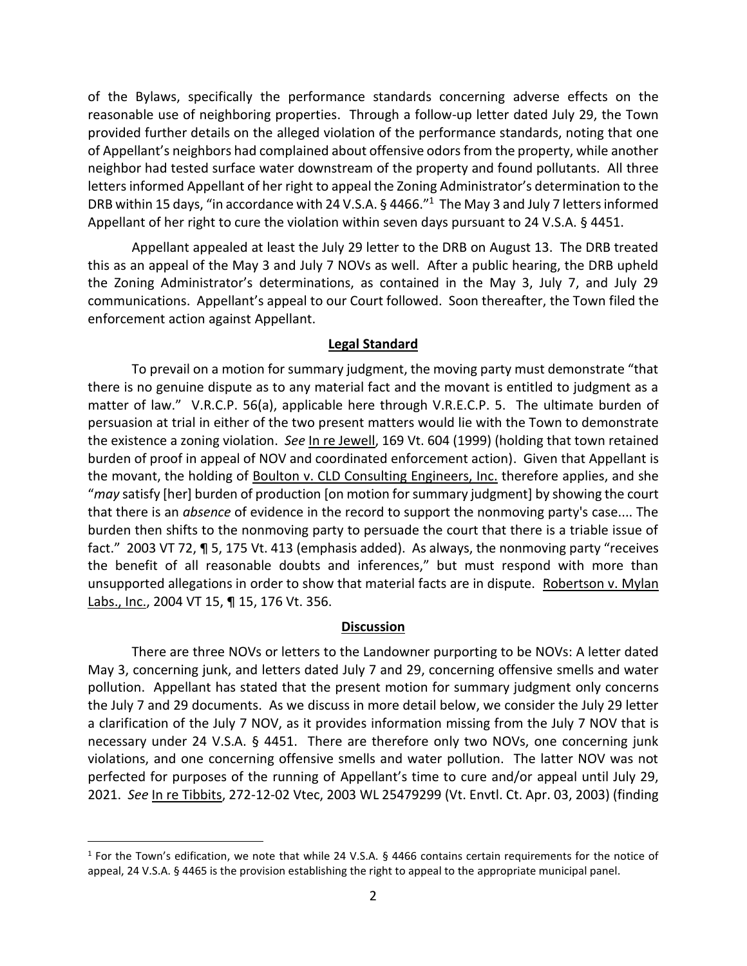of the Bylaws, specifically the performance standards concerning adverse effects on the reasonable use of neighboring properties. Through a follow-up letter dated July 29, the Town provided further details on the alleged violation of the performance standards, noting that one of Appellant's neighbors had complained about offensive odors from the property, while another neighbor had tested surface water downstream of the property and found pollutants. All three letters informed Appellant of her right to appeal the Zoning Administrator's determination to the DRB within 15 days, "in accordance with 24 V.S.A. § 4466."<sup>1</sup> The May 3 and July 7 letters informed Appellant of her right to cure the violation within seven days pursuant to 24 V.S.A. § 4451.

Appellant appealed at least the July 29 letter to the DRB on August 13. The DRB treated this as an appeal of the May 3 and July 7 NOVs as well. After a public hearing, the DRB upheld the Zoning Administrator's determinations, as contained in the May 3, July 7, and July 29 communications. Appellant's appeal to our Court followed. Soon thereafter, the Town filed the enforcement action against Appellant.

#### **Legal Standard**

To prevail on a motion for summary judgment, the moving party must demonstrate "that there is no genuine dispute as to any material fact and the movant is entitled to judgment as a matter of law." V.R.C.P. 56(a), applicable here through V.R.E.C.P. 5. The ultimate burden of persuasion at trial in either of the two present matters would lie with the Town to demonstrate the existence a zoning violation. *See* In re Jewell, 169 Vt. 604 (1999) (holding that town retained burden of proof in appeal of NOV and coordinated enforcement action). Given that Appellant is the movant, the holding of Boulton v. CLD Consulting Engineers, Inc. therefore applies, and she "*may* satisfy [her] burden of production [on motion for summary judgment] by showing the court that there is an *absence* of evidence in the record to support the nonmoving party's case.... The burden then shifts to the nonmoving party to persuade the court that there is a triable issue of fact." 2003 VT 72, ¶ 5, 175 Vt. 413 (emphasis added). As always, the nonmoving party "receives the benefit of all reasonable doubts and inferences," but must respond with more than unsupported allegations in order to show that material facts are in dispute. Robertson v. Mylan Labs., Inc., 2004 VT 15, ¶ 15, 176 Vt. 356.

### **Discussion**

There are three NOVs or letters to the Landowner purporting to be NOVs: A letter dated May 3, concerning junk, and letters dated July 7 and 29, concerning offensive smells and water pollution. Appellant has stated that the present motion for summary judgment only concerns the July 7 and 29 documents. As we discuss in more detail below, we consider the July 29 letter a clarification of the July 7 NOV, as it provides information missing from the July 7 NOV that is necessary under 24 V.S.A. § 4451. There are therefore only two NOVs, one concerning junk violations, and one concerning offensive smells and water pollution. The latter NOV was not perfected for purposes of the running of Appellant's time to cure and/or appeal until July 29, 2021. *See* In re Tibbits, 272-12-02 Vtec, 2003 WL 25479299 (Vt. Envtl. Ct. Apr. 03, 2003) (finding

<sup>&</sup>lt;sup>1</sup> For the Town's edification, we note that while 24 V.S.A. § 4466 contains certain requirements for the notice of appeal, 24 V.S.A. § 4465 is the provision establishing the right to appeal to the appropriate municipal panel.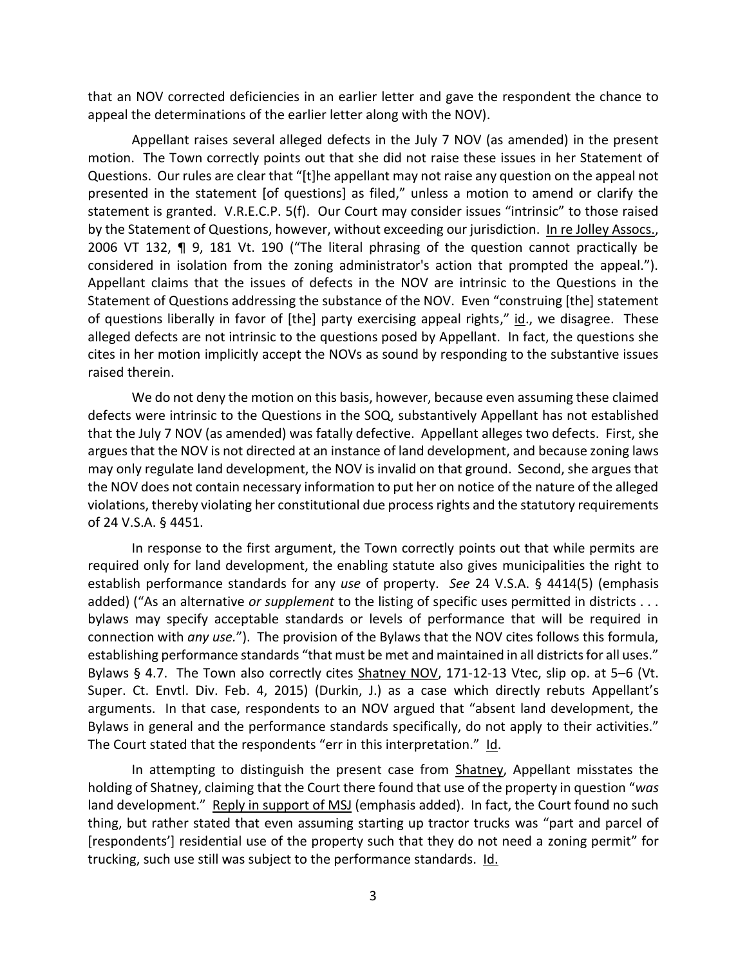that an NOV corrected deficiencies in an earlier letter and gave the respondent the chance to appeal the determinations of the earlier letter along with the NOV).

Appellant raises several alleged defects in the July 7 NOV (as amended) in the present motion. The Town correctly points out that she did not raise these issues in her Statement of Questions. Our rules are clear that "[t]he appellant may not raise any question on the appeal not presented in the statement [of questions] as filed," unless a motion to amend or clarify the statement is granted. V.R.E.C.P. 5(f). Our Court may consider issues "intrinsic" to those raised by the Statement of Questions, however, without exceeding our jurisdiction. In re Jolley Assocs., 2006 VT 132, ¶ 9, 181 Vt. 190 ("The literal phrasing of the question cannot practically be considered in isolation from the zoning administrator's action that prompted the appeal."). Appellant claims that the issues of defects in the NOV are intrinsic to the Questions in the Statement of Questions addressing the substance of the NOV. Even "construing [the] statement of questions liberally in favor of [the] party exercising appeal rights," id., we disagree. These alleged defects are not intrinsic to the questions posed by Appellant. In fact, the questions she cites in her motion implicitly accept the NOVs as sound by responding to the substantive issues raised therein.

We do not deny the motion on this basis, however, because even assuming these claimed defects were intrinsic to the Questions in the SOQ, substantively Appellant has not established that the July 7 NOV (as amended) was fatally defective. Appellant alleges two defects. First, she argues that the NOV is not directed at an instance of land development, and because zoning laws may only regulate land development, the NOV is invalid on that ground. Second, she argues that the NOV does not contain necessary information to put her on notice of the nature of the alleged violations, thereby violating her constitutional due process rights and the statutory requirements of 24 V.S.A. § 4451.

In response to the first argument, the Town correctly points out that while permits are required only for land development, the enabling statute also gives municipalities the right to establish performance standards for any *use* of property. *See* 24 V.S.A. § 4414(5) (emphasis added) ("As an alternative *or supplement* to the listing of specific uses permitted in districts . . . bylaws may specify acceptable standards or levels of performance that will be required in connection with *any use.*"). The provision of the Bylaws that the NOV cites follows this formula, establishing performance standards "that must be met and maintained in all districts for all uses." Bylaws § 4.7. The Town also correctly cites Shatney NOV, 171-12-13 Vtec, slip op. at 5–6 (Vt. Super. Ct. Envtl. Div. Feb. 4, 2015) (Durkin, J.) as a case which directly rebuts Appellant's arguments. In that case, respondents to an NOV argued that "absent land development, the Bylaws in general and the performance standards specifically, do not apply to their activities." The Court stated that the respondents "err in this interpretation." Id.

In attempting to distinguish the present case from **Shatney**, Appellant misstates the holding of Shatney, claiming that the Court there found that use of the property in question "*was*  land development." Reply in support of MSJ (emphasis added). In fact, the Court found no such thing, but rather stated that even assuming starting up tractor trucks was "part and parcel of [respondents'] residential use of the property such that they do not need a zoning permit" for trucking, such use still was subject to the performance standards. Id.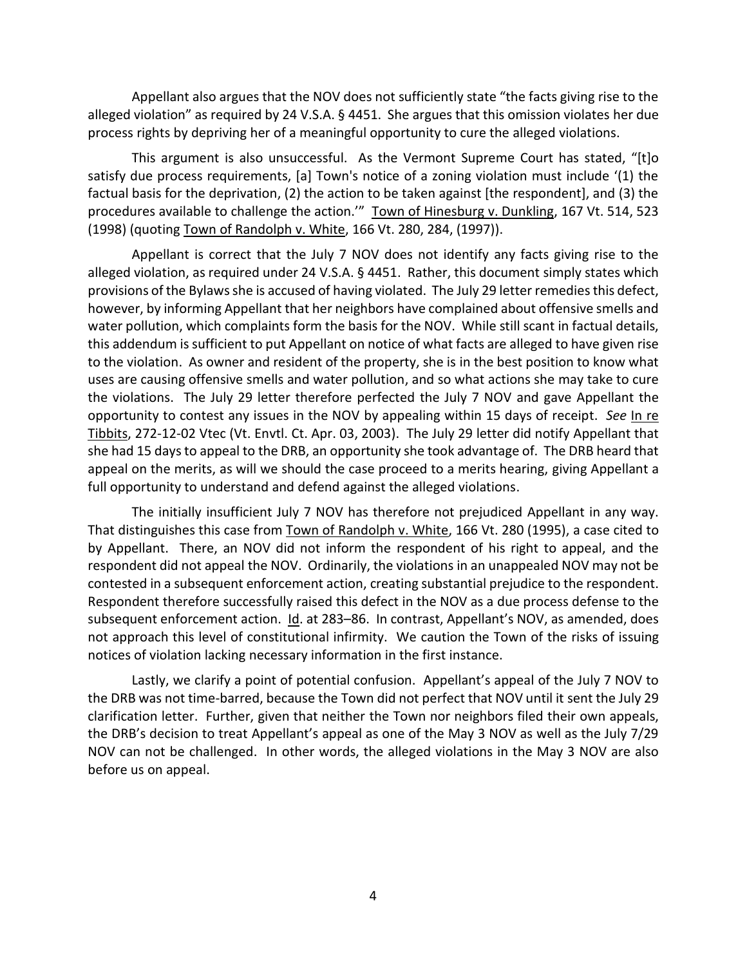Appellant also argues that the NOV does not sufficiently state "the facts giving rise to the alleged violation" as required by 24 V.S.A. § 4451. She argues that this omission violates her due process rights by depriving her of a meaningful opportunity to cure the alleged violations.

This argument is also unsuccessful. As the Vermont Supreme Court has stated, "[t]o satisfy due process requirements, [a] Town's notice of a zoning violation must include '(1) the factual basis for the deprivation, (2) the action to be taken against [the respondent], and (3) the procedures available to challenge the action." Town of Hinesburg v. Dunkling, 167 Vt. 514, 523 (1998) (quoting Town of Randolph v. White, 166 Vt. 280, 284, (1997)).

Appellant is correct that the July 7 NOV does not identify any facts giving rise to the alleged violation, as required under 24 V.S.A. § 4451. Rather, this document simply states which provisions of the Bylaws she is accused of having violated. The July 29 letter remedies this defect, however, by informing Appellant that her neighbors have complained about offensive smells and water pollution, which complaints form the basis for the NOV. While still scant in factual details, this addendum is sufficient to put Appellant on notice of what facts are alleged to have given rise to the violation. As owner and resident of the property, she is in the best position to know what uses are causing offensive smells and water pollution, and so what actions she may take to cure the violations. The July 29 letter therefore perfected the July 7 NOV and gave Appellant the opportunity to contest any issues in the NOV by appealing within 15 days of receipt. *See* In re Tibbits, 272-12-02 Vtec (Vt. Envtl. Ct. Apr. 03, 2003). The July 29 letter did notify Appellant that she had 15 days to appeal to the DRB, an opportunity she took advantage of. The DRB heard that appeal on the merits, as will we should the case proceed to a merits hearing, giving Appellant a full opportunity to understand and defend against the alleged violations.

The initially insufficient July 7 NOV has therefore not prejudiced Appellant in any way. That distinguishes this case from Town of Randolph v. White, 166 Vt. 280 (1995), a case cited to by Appellant. There, an NOV did not inform the respondent of his right to appeal, and the respondent did not appeal the NOV. Ordinarily, the violations in an unappealed NOV may not be contested in a subsequent enforcement action, creating substantial prejudice to the respondent. Respondent therefore successfully raised this defect in the NOV as a due process defense to the subsequent enforcement action. Id. at 283-86. In contrast, Appellant's NOV, as amended, does not approach this level of constitutional infirmity. We caution the Town of the risks of issuing notices of violation lacking necessary information in the first instance.

Lastly, we clarify a point of potential confusion. Appellant's appeal of the July 7 NOV to the DRB was not time-barred, because the Town did not perfect that NOV until it sent the July 29 clarification letter. Further, given that neither the Town nor neighbors filed their own appeals, the DRB's decision to treat Appellant's appeal as one of the May 3 NOV as well as the July 7/29 NOV can not be challenged. In other words, the alleged violations in the May 3 NOV are also before us on appeal.